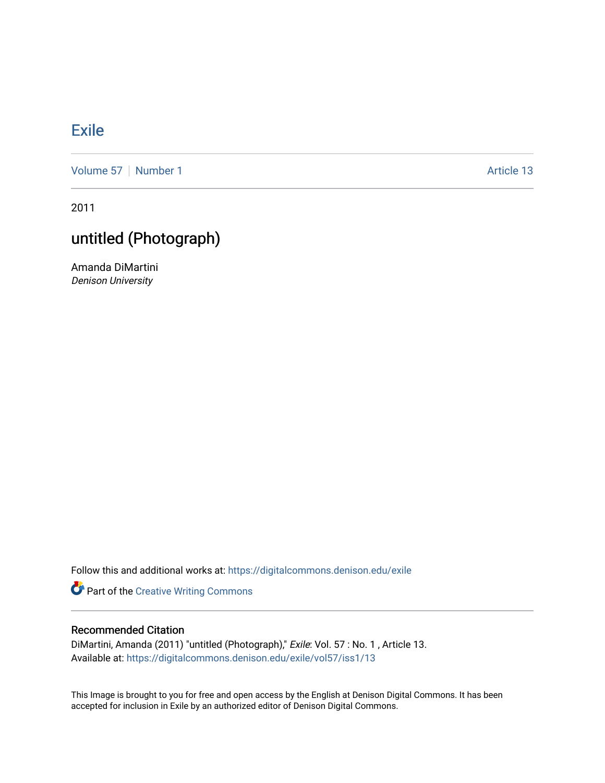## **[Exile](https://digitalcommons.denison.edu/exile)**

[Volume 57](https://digitalcommons.denison.edu/exile/vol57) | [Number 1](https://digitalcommons.denison.edu/exile/vol57/iss1) Article 13

2011

## untitled (Photograph)

Amanda DiMartini Denison University

Follow this and additional works at: [https://digitalcommons.denison.edu/exile](https://digitalcommons.denison.edu/exile?utm_source=digitalcommons.denison.edu%2Fexile%2Fvol57%2Fiss1%2F13&utm_medium=PDF&utm_campaign=PDFCoverPages) 

Part of the [Creative Writing Commons](http://network.bepress.com/hgg/discipline/574?utm_source=digitalcommons.denison.edu%2Fexile%2Fvol57%2Fiss1%2F13&utm_medium=PDF&utm_campaign=PDFCoverPages) 

## Recommended Citation

DiMartini, Amanda (2011) "untitled (Photograph)," Exile: Vol. 57 : No. 1 , Article 13. Available at: [https://digitalcommons.denison.edu/exile/vol57/iss1/13](https://digitalcommons.denison.edu/exile/vol57/iss1/13?utm_source=digitalcommons.denison.edu%2Fexile%2Fvol57%2Fiss1%2F13&utm_medium=PDF&utm_campaign=PDFCoverPages)

This Image is brought to you for free and open access by the English at Denison Digital Commons. It has been accepted for inclusion in Exile by an authorized editor of Denison Digital Commons.